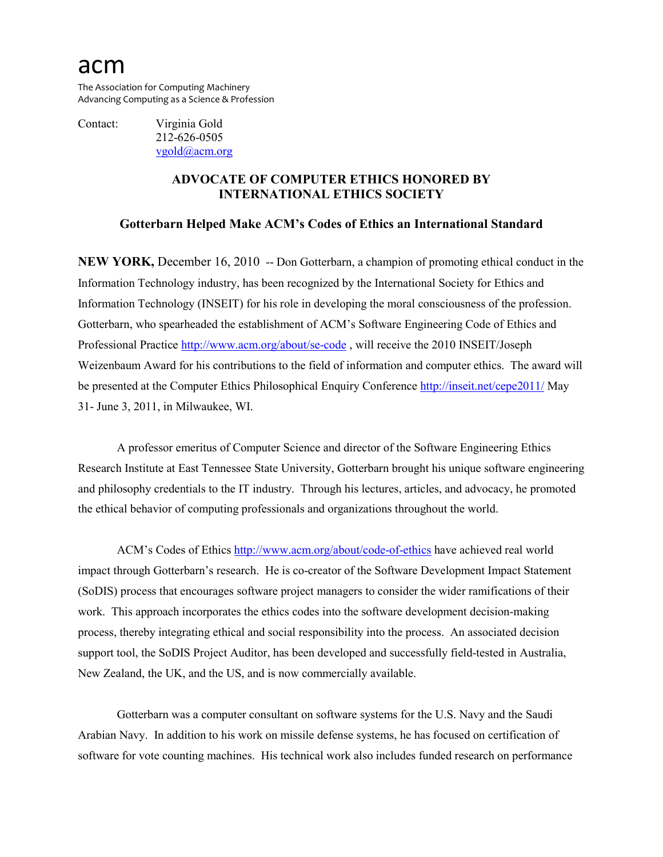## acm

The Association for Computing Machinery Advancing Computing as a Science & Profession

Contact: Virginia Gold 212-626-0505 [vgold@acm.org](mailto:v_gold@acm.org)

## **ADVOCATE OF COMPUTER ETHICS HONORED BY INTERNATIONAL ETHICS SOCIETY**

## **Gotterbarn Helped Make ACM's Codes of Ethics an International Standard**

**NEW YORK, December 16, 2010 -- Don Gotterbarn, a champion of promoting ethical conduct in the** Information Technology industry, has been recognized by the International Society for Ethics and Information Technology (INSEIT) for his role in developing the moral consciousness of the profession. Gotterbarn, who spearheaded the establishment of ACM's Software Engineering Code of Ethics and Professional Practice <http://www.acm.org/about/se-code> , will receive the 2010 INSEIT/Joseph Weizenbaum Award for his contributions to the field of information and computer ethics. The award will be presented at the Computer Ethics Philosophical Enquiry Conference<http://inseit.net/cepe2011/> May 31- June 3, 2011, in Milwaukee, WI.

A professor emeritus of Computer Science and director of the Software Engineering Ethics Research Institute at East Tennessee State University, Gotterbarn brought his unique software engineering and philosophy credentials to the IT industry. Through his lectures, articles, and advocacy, he promoted the ethical behavior of computing professionals and organizations throughout the world.

ACM's Codes of Ethics<http://www.acm.org/about/code-of-ethics> have achieved real world impact through Gotterbarn's research. He is co-creator of the Software Development Impact Statement (SoDIS) process that encourages software project managers to consider the wider ramifications of their work. This approach incorporates the ethics codes into the software development decision-making process, thereby integrating ethical and social responsibility into the process. An associated decision support tool, the SoDIS Project Auditor, has been developed and successfully field-tested in Australia, New Zealand, the UK, and the US, and is now commercially available.

Gotterbarn was a computer consultant on software systems for the U.S. Navy and the Saudi Arabian Navy. In addition to his work on missile defense systems, he has focused on certification of software for vote counting machines. His technical work also includes funded research on performance